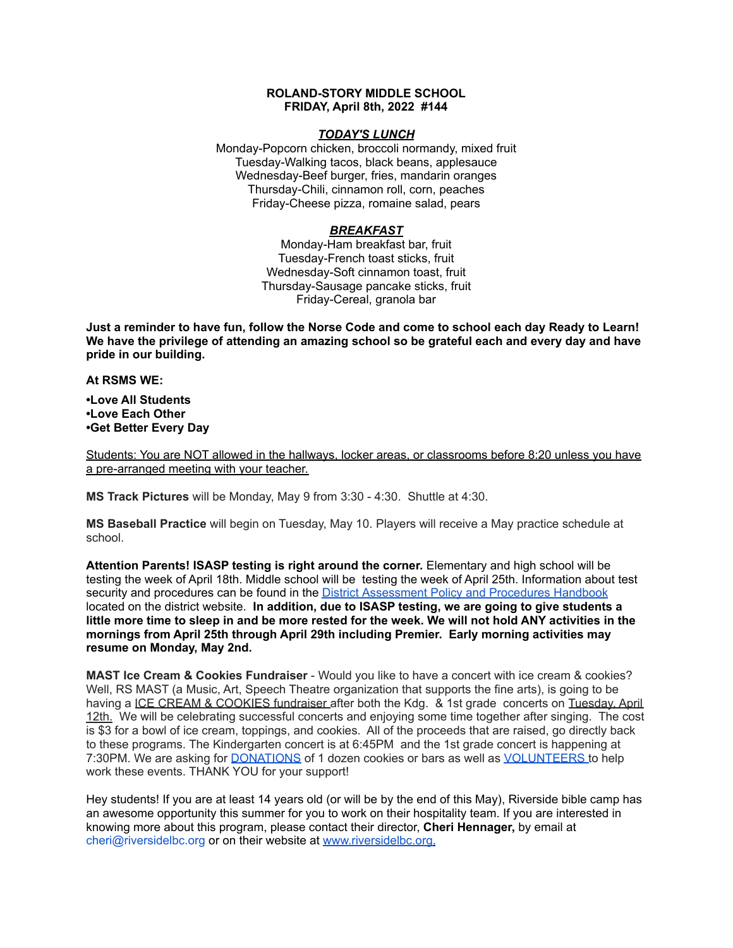### **ROLAND-STORY MIDDLE SCHOOL FRIDAY, April 8th, 2022 #144**

### *TODAY'S LUNCH*

Monday-Popcorn chicken, broccoli normandy, mixed fruit Tuesday-Walking tacos, black beans, applesauce Wednesday-Beef burger, fries, mandarin oranges Thursday-Chili, cinnamon roll, corn, peaches Friday-Cheese pizza, romaine salad, pears

## *BREAKFAST*

Monday-Ham breakfast bar, fruit Tuesday-French toast sticks, fruit Wednesday-Soft cinnamon toast, fruit Thursday-Sausage pancake sticks, fruit Friday-Cereal, granola bar

Just a reminder to have fun, follow the Norse Code and come to school each day Ready to Learn! **We have the privilege of attending an amazing school so be grateful each and every day and have pride in our building.**

**At RSMS WE:**

**•Love All Students •Love Each Other •Get Better Every Day**

Students: You are NOT allowed in the hallways, locker areas, or classrooms before 8:20 unless you have a pre-arranged meeting with your teacher.

**MS Track Pictures** will be Monday, May 9 from 3:30 - 4:30. Shuttle at 4:30.

**MS Baseball Practice** will begin on Tuesday, May 10. Players will receive a May practice schedule at school.

**Attention Parents! ISASP testing is right around the corner.** Elementary and high school will be testing the week of April 18th. Middle school will be testing the week of April 25th. Information about test security and procedures can be found in the District [Assessment](https://rolandstory.school/media/Michelle%20Soderstrum/RSCSD_District_Assessment_Poli%20-%20Copy%203.pdf) Policy and Procedures Handbook located on the district website. **In addition, due to ISASP testing, we are going to give students a** little more time to sleep in and be more rested for the week. We will not hold ANY activities in the **mornings from April 25th through April 29th including Premier. Early morning activities may resume on Monday, May 2nd.**

**MAST Ice Cream & Cookies Fundraiser** - Would you like to have a concert with ice cream & cookies? Well, RS MAST (a Music, Art, Speech Theatre organization that supports the fine arts), is going to be having a ICE CREAM & COOKIES fundraiser after both the Kdg. & 1st grade concerts on Tuesday. April 12th. We will be celebrating successful concerts and enjoying some time together after singing. The cost is \$3 for a bowl of ice cream, toppings, and cookies. All of the proceeds that are raised, go directly back to these programs. The Kindergarten concert is at 6:45PM and the 1st grade concert is happening at 7:30PM. We are asking for **[DONATIONS](https://www.signupgenius.com/go/4090C45ACAC2BA31-kdg)** of 1 dozen cookies or bars as well as **[VOLUNTEERS](https://www.signupgenius.com/go/4090C45ACAC2BA31-volunteers)** to help work these events. THANK YOU for your support!

Hey students! If you are at least 14 years old (or will be by the end of this May), Riverside bible camp has an awesome opportunity this summer for you to work on their hospitality team. If you are interested in knowing more about this program, please contact their director, **Cheri Hennager,** by email at cheri@riversidelbc.org or on their website at [www.riversidelbc.org.](http://www.riversidelbc.org/)